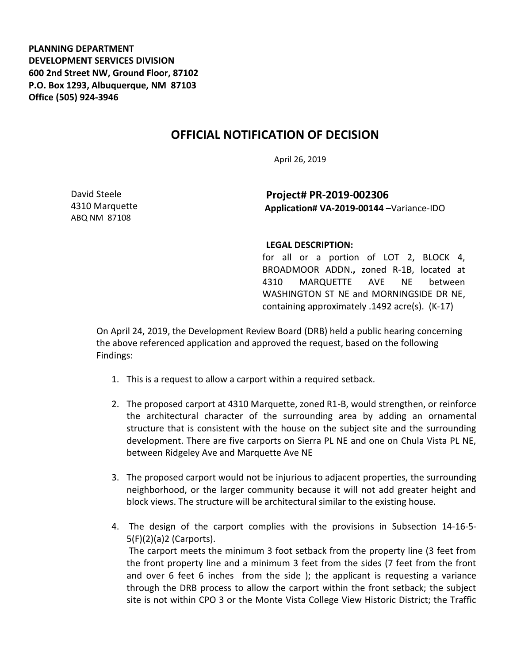**PLANNING DEPARTMENT DEVELOPMENT SERVICES DIVISION 600 2nd Street NW, Ground Floor, 87102 P.O. Box 1293, Albuquerque, NM 87103 Office (505) 924-3946** 

## **OFFICIAL NOTIFICATION OF DECISION**

April 26, 2019

David Steele 4310 Marquette ABQ NM 87108

**Project# PR-2019-002306 Application# VA-2019-00144 –**Variance-IDO

## **LEGAL DESCRIPTION:**

for all or a portion of LOT 2, BLOCK 4, BROADMOOR ADDN.**,** zoned R-1B, located at 4310 MARQUETTE AVE NE between WASHINGTON ST NE and MORNINGSIDE DR NE, containing approximately .1492 acre(s). (K-17)

On April 24, 2019, the Development Review Board (DRB) held a public hearing concerning the above referenced application and approved the request, based on the following Findings:

- 1. This is a request to allow a carport within a required setback.
- 2. The proposed carport at 4310 Marquette, zoned R1-B, would strengthen, or reinforce the architectural character of the surrounding area by adding an ornamental structure that is consistent with the house on the subject site and the surrounding development. There are five carports on Sierra PL NE and one on Chula Vista PL NE, between Ridgeley Ave and Marquette Ave NE
- 3. The proposed carport would not be injurious to adjacent properties, the surrounding neighborhood, or the larger community because it will not add greater height and block views. The structure will be architectural similar to the existing house.
- 4. The design of the carport complies with the provisions in Subsection 14-16-5- 5(F)(2)(a)2 (Carports). The carport meets the minimum 3 foot setback from the property line (3 feet from the front property line and a minimum 3 feet from the sides (7 feet from the front and over 6 feet 6 inches from the side ); the applicant is requesting a variance through the DRB process to allow the carport within the front setback; the subject site is not within CPO 3 or the Monte Vista College View Historic District; the Traffic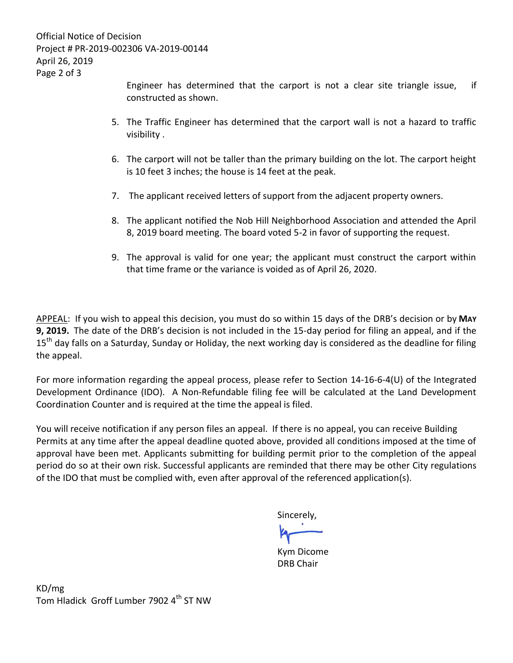Official Notice of Decision Project # PR-2019-002306 VA-2019-00144 April 26, 2019 Page 2 of 3

> Engineer has determined that the carport is not a clear site triangle issue, if constructed as shown.

- 5. The Traffic Engineer has determined that the carport wall is not a hazard to traffic visibility .
- 6. The carport will not be taller than the primary building on the lot. The carport height is 10 feet 3 inches; the house is 14 feet at the peak.
- 7. The applicant received letters of support from the adjacent property owners.
- 8. The applicant notified the Nob Hill Neighborhood Association and attended the April 8, 2019 board meeting. The board voted 5-2 in favor of supporting the request.
- 9. The approval is valid for one year; the applicant must construct the carport within that time frame or the variance is voided as of April 26, 2020.

APPEAL: If you wish to appeal this decision, you must do so within 15 days of the DRB's decision or by **MAY 9, 2019.** The date of the DRB's decision is not included in the 15-day period for filing an appeal, and if the 15<sup>th</sup> day falls on a Saturday, Sunday or Holiday, the next working day is considered as the deadline for filing the appeal.

For more information regarding the appeal process, please refer to Section 14-16-6-4(U) of the Integrated Development Ordinance (IDO). A Non-Refundable filing fee will be calculated at the Land Development Coordination Counter and is required at the time the appeal is filed.

You will receive notification if any person files an appeal. If there is no appeal, you can receive Building Permits at any time after the appeal deadline quoted above, provided all conditions imposed at the time of approval have been met. Applicants submitting for building permit prior to the completion of the appeal period do so at their own risk. Successful applicants are reminded that there may be other City regulations of the IDO that must be complied with, even after approval of the referenced application(s).

Sincerely,

Kym Dicome DRB Chair

KD/mg Tom Hladick Groff Lumber 7902 4<sup>th</sup> ST NW